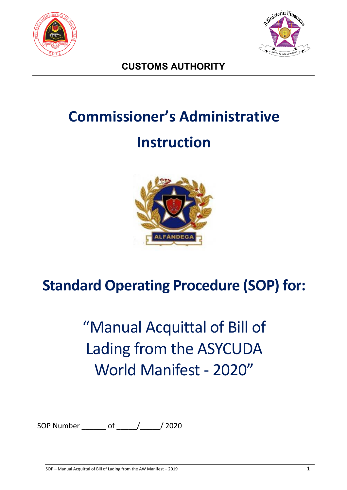



**CUSTOMS AUTHORITY**

# **Commissioner's Administrative Instruction**



# **Standard Operating Procedure (SOP) for:**

# "Manual Acquittal of Bill of Lading from the ASYCUDA World Manifest - 2020"

SOP Number \_\_\_\_\_\_ of \_\_\_\_\_/\_\_\_\_\_/ 2020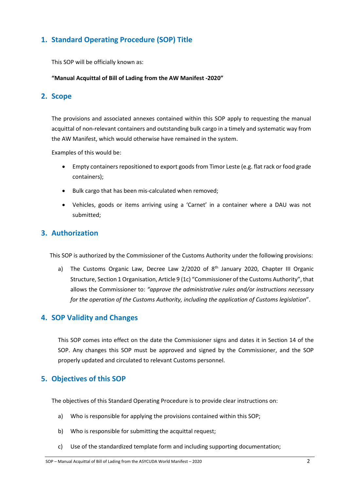# **1. Standard Operating Procedure (SOP) Title**

This SOP will be officially known as:

#### **"Manual Acquittal of Bill of Lading from the AW Manifest -2020"**

### **2. Scope**

The provisions and associated annexes contained within this SOP apply to requesting the manual acquittal of non-relevant containers and outstanding bulk cargo in a timely and systematic way from the AW Manifest, which would otherwise have remained in the system.

Examples of this would be:

- Empty containers repositioned to export goods from Timor Leste (e.g. flat rack or food grade containers);
- Bulk cargo that has been mis-calculated when removed;
- Vehicles, goods or items arriving using a 'Carnet' in a container where a DAU was not submitted;

### **3. Authorization**

This SOP is authorized by the Commissioner of the Customs Authority under the following provisions:

a) The Customs Organic Law, Decree Law  $2/2020$  of  $8<sup>th</sup>$  January 2020, Chapter III Organic Structure, Section 1 Organisation, Article 9 (1c) "Commissioner of the Customs Authority", that allows the Commissioner to: *"approve the administrative rules and/or instructions necessary for the operation of the Customs Authority, including the application of Customs legislation*".

#### **4. SOP Validity and Changes**

This SOP comes into effect on the date the Commissioner signs and dates it in Section 14 of the SOP. Any changes this SOP must be approved and signed by the Commissioner, and the SOP properly updated and circulated to relevant Customs personnel.

## **5. Objectives of this SOP**

The objectives of this Standard Operating Procedure is to provide clear instructions on:

- a) Who is responsible for applying the provisions contained within this SOP;
- b) Who is responsible for submitting the acquittal request:
- c) Use of the standardized template form and including supporting documentation;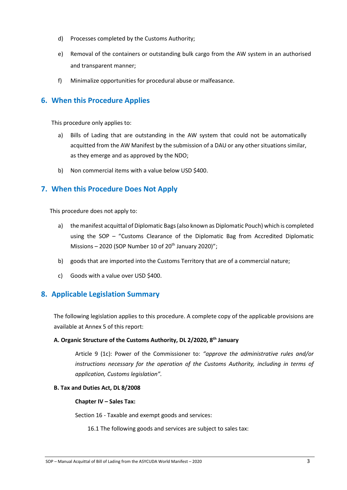- d) Processes completed by the Customs Authority;
- e) Removal of the containers or outstanding bulk cargo from the AW system in an authorised and transparent manner;
- f) Minimalize opportunities for procedural abuse or malfeasance.

### **6. When this Procedure Applies**

This procedure only applies to:

- a) Bills of Lading that are outstanding in the AW system that could not be automatically acquitted from the AW Manifest by the submission of a DAU or any other situations similar, as they emerge and as approved by the NDO;
- b) Non commercial items with a value below USD \$400.

## **7. When this Procedure Does Not Apply**

This procedure does not apply to:

- a) the manifest acquittal of Diplomatic Bags (also known as Diplomatic Pouch) which is completed using the SOP – "Customs Clearance of the Diplomatic Bag from Accredited Diplomatic Missions – 2020 (SOP Number 10 of  $20<sup>th</sup>$  January 2020)";
- b) goods that are imported into the Customs Territory that are of a commercial nature;
- c) Goods with a value over USD \$400.

## **8. Applicable Legislation Summary**

The following legislation applies to this procedure. A complete copy of the applicable provisions are available at Annex 5 of this report:

#### **A. Organic Structure of the Customs Authority, DL 2/2020, 8th January**

Article 9 (1c): Power of the Commissioner to: *"approve the administrative rules and/or instructions necessary for the operation of the Customs Authority, including in terms of application, Customs legislation".*

#### **B. Tax and Duties Act, DL 8/2008**

#### **Chapter IV – Sales Tax:**

Section 16 - Taxable and exempt goods and services:

16.1 The following goods and services are subject to sales tax: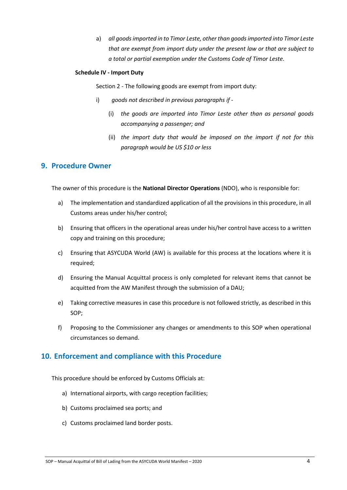a) *all goods imported in to Timor Leste, other than goods imported into Timor Leste that are exempt from import duty under the present law or that are subject to a total or partial exemption under the Customs Code of Timor Leste.*

#### **Schedule IV - Import Duty**

Section 2 - The following goods are exempt from import duty:

- i) *goods not described in previous paragraphs if -*
	- (i) *the goods are imported into Timor Leste other than as personal goods accompanying a passenger; and*
	- (ii) *the import duty that would be imposed on the import if not for this paragraph would be US \$10 or less*

#### **9. Procedure Owner**

The owner of this procedure is the **National Director Operations** (NDO), who is responsible for:

- a) The implementation and standardized application of all the provisions in this procedure, in all Customs areas under his/her control;
- b) Ensuring that officers in the operational areas under his/her control have access to a written copy and training on this procedure;
- c) Ensuring that ASYCUDA World (AW) is available for this process at the locations where it is required;
- d) Ensuring the Manual Acquittal process is only completed for relevant items that cannot be acquitted from the AW Manifest through the submission of a DAU;
- e) Taking corrective measures in case this procedure is not followed strictly, as described in this SOP;
- f) Proposing to the Commissioner any changes or amendments to this SOP when operational circumstances so demand.

#### **10. Enforcement and compliance with this Procedure**

This procedure should be enforced by Customs Officials at:

- a) International airports, with cargo reception facilities;
- b) Customs proclaimed sea ports; and
- c) Customs proclaimed land border posts.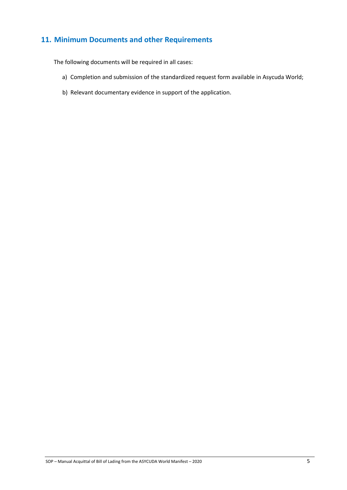# **11. Minimum Documents and other Requirements**

The following documents will be required in all cases:

- a) Completion and submission of the standardized request form available in Asycuda World;
- b) Relevant documentary evidence in support of the application.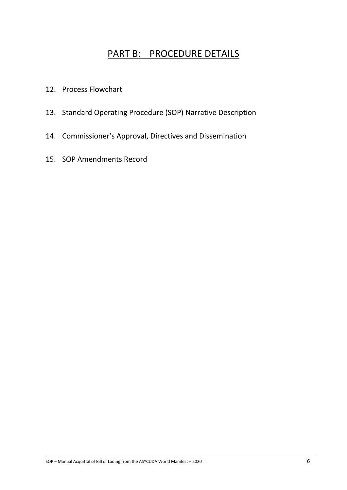# PART B: PROCEDURE DETAILS

- 12. Process Flowchart
- 13. Standard Operating Procedure (SOP) Narrative Description
- 14. Commissioner's Approval, Directives and Dissemination
- 15. SOP Amendments Record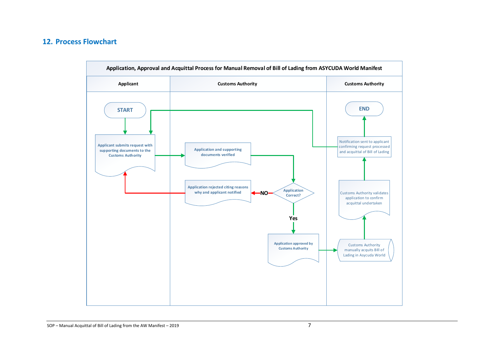## **12. Process Flowchart**

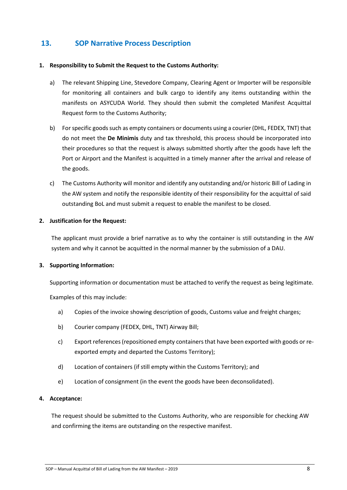## **13. SOP Narrative Process Description**

#### **1. Responsibility to Submit the Request to the Customs Authority:**

- a) The relevant Shipping Line, Stevedore Company, Clearing Agent or Importer will be responsible for monitoring all containers and bulk cargo to identify any items outstanding within the manifests on ASYCUDA World. They should then submit the completed Manifest Acquittal Request form to the Customs Authority;
- b) For specific goods such as empty containers or documents using a courier (DHL, FEDEX, TNT) that do not meet the **De Minimis** duty and tax threshold, this process should be incorporated into their procedures so that the request is always submitted shortly after the goods have left the Port or Airport and the Manifest is acquitted in a timely manner after the arrival and release of the goods.
- c) The Customs Authority will monitor and identify any outstanding and/or historic Bill of Lading in the AW system and notify the responsible identity of their responsibility for the acquittal of said outstanding BoL and must submit a request to enable the manifest to be closed.

#### **2. Justification for the Request:**

The applicant must provide a brief narrative as to why the container is still outstanding in the AW system and why it cannot be acquitted in the normal manner by the submission of a DAU.

#### **3. Supporting Information:**

Supporting information or documentation must be attached to verify the request as being legitimate.

Examples of this may include:

- a) Copies of the invoice showing description of goods, Customs value and freight charges;
- b) Courier company (FEDEX, DHL, TNT) Airway Bill;
- c) Export references(repositioned empty containers that have been exported with goods or reexported empty and departed the Customs Territory);
- d) Location of containers (if still empty within the Customs Territory); and
- e) Location of consignment (in the event the goods have been deconsolidated).

#### **4. Acceptance:**

The request should be submitted to the Customs Authority, who are responsible for checking AW and confirming the items are outstanding on the respective manifest.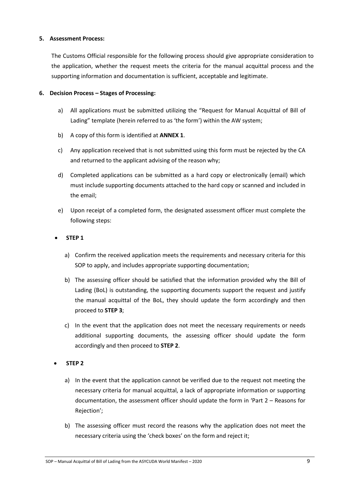#### **5. Assessment Process:**

The Customs Official responsible for the following process should give appropriate consideration to the application, whether the request meets the criteria for the manual acquittal process and the supporting information and documentation is sufficient, acceptable and legitimate.

#### **6. Decision Process – Stages of Processing:**

- a) All applications must be submitted utilizing the "Request for Manual Acquittal of Bill of Lading" template (herein referred to as 'the form') within the AW system;
- b) A copy of this form is identified at **ANNEX 1**.
- c) Any application received that is not submitted using this form must be rejected by the CA and returned to the applicant advising of the reason why;
- d) Completed applications can be submitted as a hard copy or electronically (email) which must include supporting documents attached to the hard copy or scanned and included in the email;
- e) Upon receipt of a completed form, the designated assessment officer must complete the following steps:

#### • **STEP 1**

- a) Confirm the received application meets the requirements and necessary criteria for this SOP to apply, and includes appropriate supporting documentation;
- b) The assessing officer should be satisfied that the information provided why the Bill of Lading (BoL) is outstanding, the supporting documents support the request and justify the manual acquittal of the BoL, they should update the form accordingly and then proceed to **STEP 3**;
- c) In the event that the application does not meet the necessary requirements or needs additional supporting documents, the assessing officer should update the form accordingly and then proceed to **STEP 2**.
- **STEP 2** 
	- a) In the event that the application cannot be verified due to the request not meeting the necessary criteria for manual acquittal, a lack of appropriate information or supporting documentation, the assessment officer should update the form in 'Part 2 – Reasons for Rejection';
	- b) The assessing officer must record the reasons why the application does not meet the necessary criteria using the 'check boxes' on the form and reject it;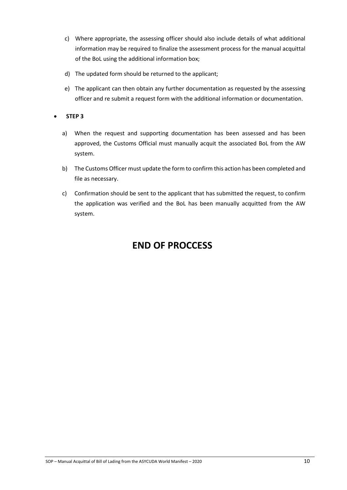- c) Where appropriate, the assessing officer should also include details of what additional information may be required to finalize the assessment process for the manual acquittal of the BoL using the additional information box;
- d) The updated form should be returned to the applicant;
- e) The applicant can then obtain any further documentation as requested by the assessing officer and re submit a request form with the additional information or documentation.

#### • **STEP 3**

- a) When the request and supporting documentation has been assessed and has been approved, the Customs Official must manually acquit the associated BoL from the AW system.
- b) The Customs Officer must update the form to confirm this action has been completed and file as necessary.
- c) Confirmation should be sent to the applicant that has submitted the request, to confirm the application was verified and the BoL has been manually acquitted from the AW system.

# **END OF PROCCESS**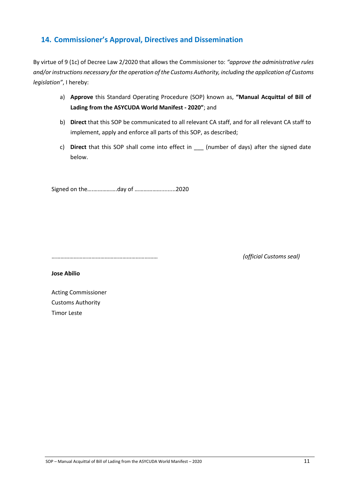## **14. Commissioner's Approval, Directives and Dissemination**

By virtue of 9 (1c) of Decree Law 2/2020 that allows the Commissioner to: *"approve the administrative rules and/or instructions necessary for the operation of the Customs Authority, including the application of Customs legislation"*, I hereby:

- a) **Approve** this Standard Operating Procedure (SOP) known as, **"Manual Acquittal of Bill of Lading from the ASYCUDA World Manifest - 2020"**; and
- b) **Direct** that this SOP be communicated to all relevant CA staff, and for all relevant CA staff to implement, apply and enforce all parts of this SOP, as described;
- c) **Direct** that this SOP shall come into effect in \_\_\_ (number of days) after the signed date below.

Signed on the….…………….day of ……………….........2020

……………………………………………………………… *(official Customs seal)*

**Jose Abilio**

Acting Commissioner Customs Authority Timor Leste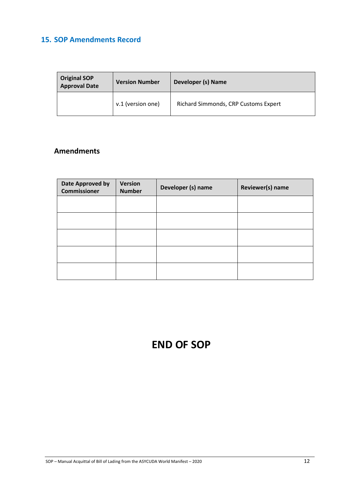# **15. SOP Amendments Record**

| <b>Original SOP</b><br><b>Approval Date</b> | <b>Version Number</b> | Developer (s) Name                   |  |
|---------------------------------------------|-----------------------|--------------------------------------|--|
|                                             | v.1 (version one)     | Richard Simmonds, CRP Customs Expert |  |

# **Amendments**

| Date Approved by<br><b>Commissioner</b> | <b>Version</b><br><b>Number</b> | Developer (s) name | Reviewer(s) name |
|-----------------------------------------|---------------------------------|--------------------|------------------|
|                                         |                                 |                    |                  |
|                                         |                                 |                    |                  |
|                                         |                                 |                    |                  |
|                                         |                                 |                    |                  |
|                                         |                                 |                    |                  |

# **END OF SOP**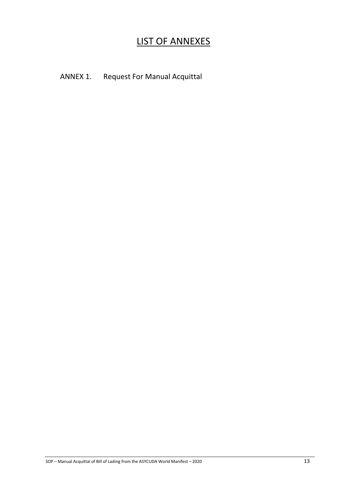# LIST OF ANNEXES

# ANNEX 1. Request For Manual Acquittal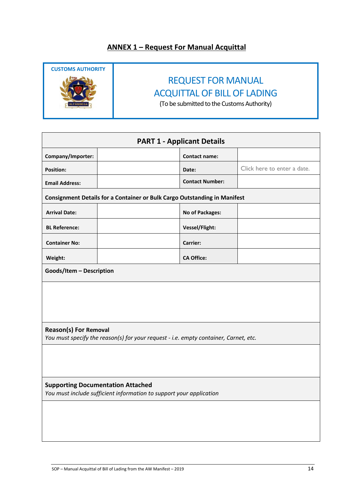# **ANNEX 1 – Request For Manual Acquittal**



# REQUEST FOR MANUAL ACQUITTAL OF BILL OF LADING

(To be submitted to the Customs Authority)

| <b>PART 1 - Applicant Details</b>                                                                                    |                                                                           |                        |                             |  |  |  |  |
|----------------------------------------------------------------------------------------------------------------------|---------------------------------------------------------------------------|------------------------|-----------------------------|--|--|--|--|
| Company/Importer:                                                                                                    |                                                                           | <b>Contact name:</b>   |                             |  |  |  |  |
| <b>Position:</b>                                                                                                     |                                                                           | Date:                  | Click here to enter a date. |  |  |  |  |
| <b>Email Address:</b>                                                                                                |                                                                           | <b>Contact Number:</b> |                             |  |  |  |  |
|                                                                                                                      | Consignment Details for a Container or Bulk Cargo Outstanding in Manifest |                        |                             |  |  |  |  |
| <b>Arrival Date:</b>                                                                                                 |                                                                           | No of Packages:        |                             |  |  |  |  |
| <b>BL Reference:</b>                                                                                                 |                                                                           | Vessel/Flight:         |                             |  |  |  |  |
| <b>Container No:</b>                                                                                                 |                                                                           | <b>Carrier:</b>        |                             |  |  |  |  |
| Weight:                                                                                                              |                                                                           | <b>CA Office:</b>      |                             |  |  |  |  |
| Goods/Item - Description                                                                                             |                                                                           |                        |                             |  |  |  |  |
|                                                                                                                      |                                                                           |                        |                             |  |  |  |  |
| <b>Reason(s) For Removal</b><br>You must specify the reason(s) for your request - i.e. empty container, Carnet, etc. |                                                                           |                        |                             |  |  |  |  |
| <b>Supporting Documentation Attached</b><br>You must include sufficient information to support your application      |                                                                           |                        |                             |  |  |  |  |
|                                                                                                                      |                                                                           |                        |                             |  |  |  |  |